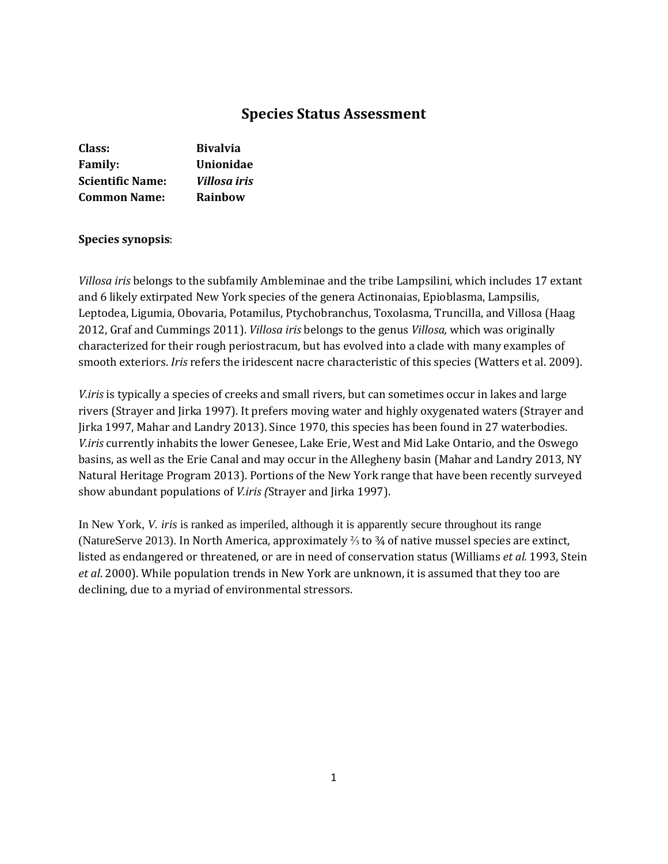# **Species Status Assessment**

| Class:                  | <b>Bivalvia</b>  |
|-------------------------|------------------|
| <b>Family:</b>          | <b>Unionidae</b> |
| <b>Scientific Name:</b> | Villosa iris     |
| <b>Common Name:</b>     | Rainbow          |

### **Species synopsis**:

*Villosa iris* belongs to the subfamily Ambleminae and the tribe Lampsilini, which includes 17 extant and 6 likely extirpated New York species of the genera Actinonaias, Epioblasma, Lampsilis, Leptodea, Ligumia, Obovaria, Potamilus, Ptychobranchus, Toxolasma, Truncilla, and Villosa (Haag 2012, Graf and Cummings 2011). *Villosa iris* belongs to the genus *Villosa,* which was originally characterized for their rough periostracum, but has evolved into a clade with many examples of smooth exteriors. *Iris* refers the iridescent nacre characteristic of this species (Watters et al. 2009).

*V.iris* is typically a species of creeks and small rivers, but can sometimes occur in lakes and large rivers (Strayer and Jirka 1997). It prefers moving water and highly oxygenated waters (Strayer and Jirka 1997, Mahar and Landry 2013). Since 1970, this species has been found in 27 waterbodies. *V.iris* currently inhabits the lower Genesee, Lake Erie, West and Mid Lake Ontario, and the Oswego basins, as well as the Erie Canal and may occur in the Allegheny basin (Mahar and Landry 2013, NY Natural Heritage Program 2013). Portions of the New York range that have been recently surveyed show abundant populations of *V.iris (*Strayer and Jirka 1997).

In New York, *V. iris* is ranked as imperiled, although it is apparently secure throughout its range (NatureServe 2013). In North America, approximately ⅔ to ¾ of native mussel species are extinct, listed as endangered or threatened, or are in need of conservation status (Williams *et al.* 1993, Stein *et al*. 2000). While population trends in New York are unknown, it is assumed that they too are declining, due to a myriad of environmental stressors.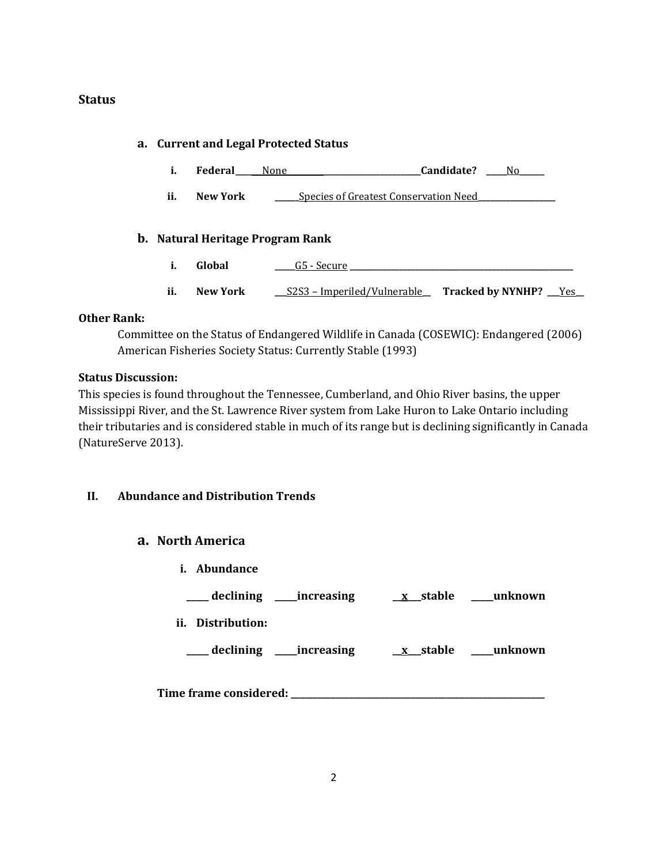# **Status**

| a. Current and Legal Protected Status |                 |                                         |                                     |  |  |
|---------------------------------------|-----------------|-----------------------------------------|-------------------------------------|--|--|
| i.                                    | Federal         | Candidate?<br>None                      | No.                                 |  |  |
| ii.                                   | New York        | Species of Greatest Conservation Need   |                                     |  |  |
|                                       |                 | <b>b.</b> Natural Heritage Program Rank |                                     |  |  |
| i.                                    | Global          | G5 - Secure                             |                                     |  |  |
| ii.                                   | <b>New York</b> | <u>S2S3 – Imperiled/Vulnerable –</u>    | Tracked by NYNHP? Tracked by NYNHP? |  |  |

# **Other Rank:**

Committee on the Status of Endangered Wildlife in Canada (COSEWIC): Endangered (2006) American Fisheries Society Status: Currently Stable (1993)

# **Status Discussion:**

This species is found throughout the Tennessee, Cumberland, and Ohio River basins, the upper Mississippi River, and the St. Lawrence River system from Lake Huron to Lake Ontario including their tributaries and is considered stable in much of its range but is declining significantly in Canada (NatureServe 2013).

# **II. Abundance and Distribution Trends**

# **a. North America**

| Abundance<br>i.           |                        |         |
|---------------------------|------------------------|---------|
| declining _____increasing | $\underline{x}$ stable | unknown |
| Distribution:<br>ii.      |                        |         |
| declining _____increasing | <u>x</u> _stable       | unknown |
| Time frame considered:    |                        |         |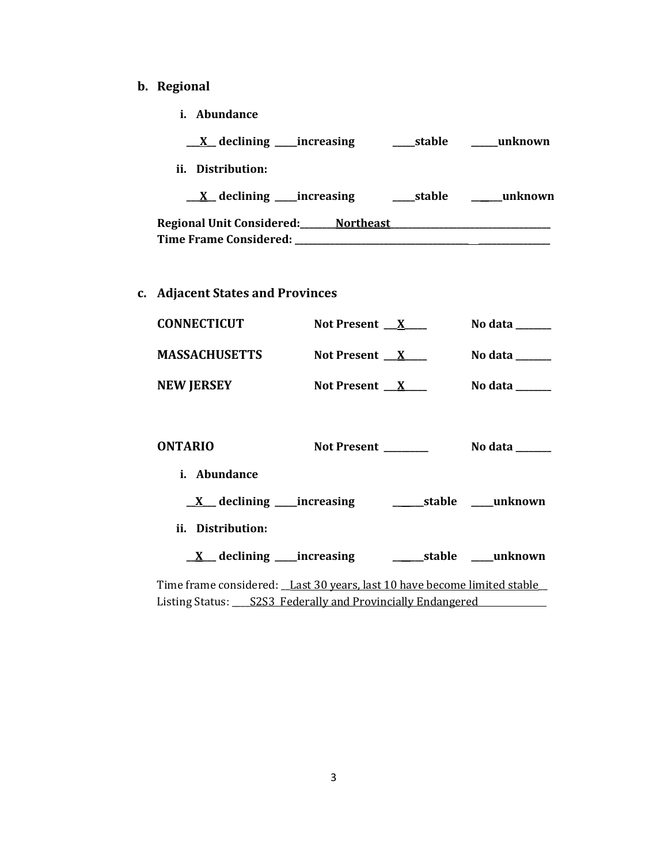# **b. Regional**

**i. Abundance**

| <u>X</u> declining ____increasing   | stable | unknown  |
|-------------------------------------|--------|----------|
| ii. Distribution:                   |        |          |
| $X$ declining increasing            | stable | _unknown |
| Regional Unit Considered: Northeast |        |          |
| <b>Time Frame Considered:</b>       |        |          |

**c. Adjacent States and Provinces**

| <b>CONNECTICUT</b>   | Not Present $\_\ X$      | No data $\qquad \qquad$ |
|----------------------|--------------------------|-------------------------|
| <b>MASSACHUSETTS</b> | Not Present $\mathbf{X}$ | No data $\qquad \qquad$ |
| <b>NEW JERSEY</b>    | Not Present $\mathbf{X}$ | No data                 |

| <b>ONTARIO</b>                                                           | Not Present | No data ______                |
|--------------------------------------------------------------------------|-------------|-------------------------------|
| <i>i.</i> Abundance                                                      |             |                               |
| $\underline{X}$ declining _____increasing                                |             | _________stable ______unknown |
| ii. Distribution:                                                        |             |                               |
| $\underline{X}$ declining _____ increasing                               |             | stable unknown                |
| Time frame considered: Last 30 years, last 10 have become limited stable |             |                               |

Listing Status: \_\_\_\_\_ S2S3\_Federally and Provincially Endangered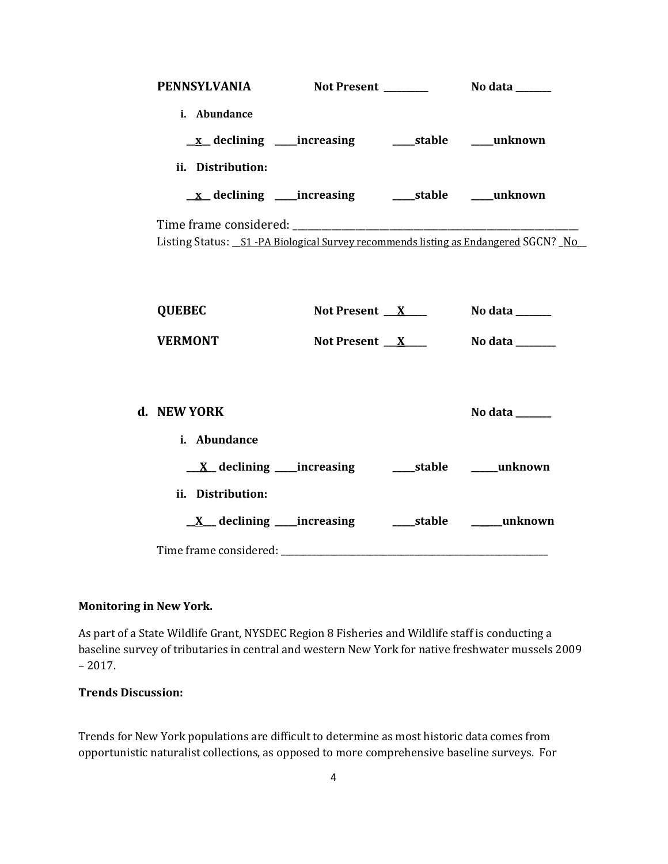| i. Abundance<br><u>x</u> declining ____increasing ______stable ____unknown          |                 |                 |
|-------------------------------------------------------------------------------------|-----------------|-----------------|
| ii. Distribution:                                                                   |                 |                 |
|                                                                                     |                 |                 |
| Listing Status: _S1 -PA Biological Survey recommends listing as Endangered SGCN? No |                 |                 |
| <b>QUEBEC</b>                                                                       | Not Present $X$ | No data ______  |
| <b>VERMONT</b>                                                                      | Not Present $X$ | No data _______ |
| d. NEW YORK<br>i. Abundance                                                         |                 | No data ______  |
|                                                                                     |                 |                 |
| ii. Distribution:                                                                   |                 |                 |
|                                                                                     |                 |                 |
|                                                                                     |                 |                 |

# **Monitoring in New York.**

As part of a State Wildlife Grant, NYSDEC Region 8 Fisheries and Wildlife staff is conducting a baseline survey of tributaries in central and western New York for native freshwater mussels 2009 – 2017.

# **Trends Discussion:**

Trends for New York populations are difficult to determine as most historic data comes from opportunistic naturalist collections, as opposed to more comprehensive baseline surveys. For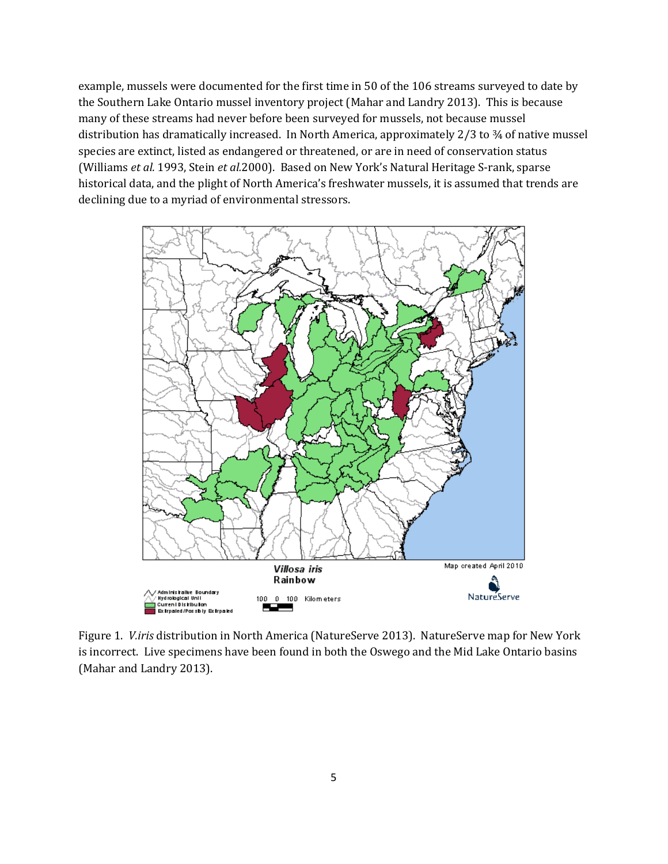example, mussels were documented for the first time in 50 of the 106 streams surveyed to date by the Southern Lake Ontario mussel inventory project (Mahar and Landry 2013). This is because many of these streams had never before been surveyed for mussels, not because mussel distribution has dramatically increased. In North America, approximately 2/3 to ¾ of native mussel species are extinct, listed as endangered or threatened, or are in need of conservation status (Williams *et al.* 1993, Stein *et al.*2000). Based on New York's Natural Heritage S-rank, sparse historical data, and the plight of North America's freshwater mussels, it is assumed that trends are declining due to a myriad of environmental stressors.



Figure 1. *V.iris* distribution in North America (NatureServe 2013). NatureServe map for New York is incorrect. Live specimens have been found in both the Oswego and the Mid Lake Ontario basins (Mahar and Landry 2013).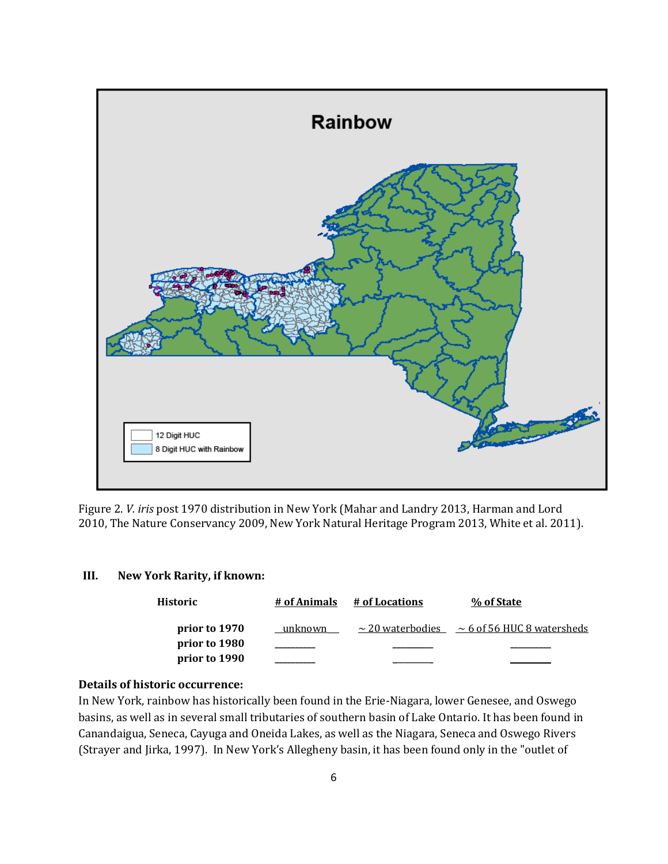

Figure 2. *V. iris* post 1970 distribution in New York (Mahar and Landry 2013, Harman and Lord 2010, The Nature Conservancy 2009, New York Natural Heritage Program 2013, White et al. 2011).

### **III. New York Rarity, if known:**

| Historic      | # of Animals | # of Locations | % of State                                            |
|---------------|--------------|----------------|-------------------------------------------------------|
| prior to 1970 | unknown      |                | $\sim$ 20 waterbodies $\sim$ 6 of 56 HUC 8 watersheds |
| prior to 1980 |              |                |                                                       |
| prior to 1990 |              |                |                                                       |

### **Details of historic occurrence:**

In New York, rainbow has historically been found in the Erie-Niagara, lower Genesee, and Oswego basins, as well as in several small tributaries of southern basin of Lake Ontario. It has been found in Canandaigua, Seneca, Cayuga and Oneida Lakes, as well as the Niagara, Seneca and Oswego Rivers (Strayer and Jirka, 1997). In New York's Allegheny basin, it has been found only in the "outlet of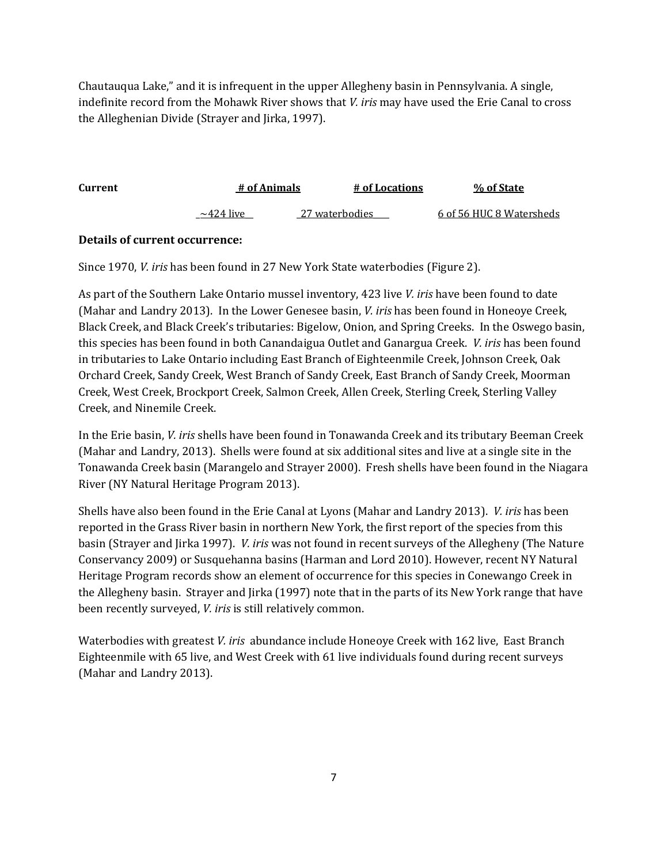Chautauqua Lake," and it is infrequent in the upper Allegheny basin in Pennsylvania. A single, indefinite record from the Mohawk River shows that *V. iris* may have used the Erie Canal to cross the Alleghenian Divide (Strayer and Jirka, 1997).

| Current | # of Animals    |                | # of Locations | % of State               |
|---------|-----------------|----------------|----------------|--------------------------|
|         | $\sim$ 424 live | 27 waterbodies |                | 6 of 56 HUC 8 Watersheds |

# **Details of current occurrence:**

Since 1970, *V. iris* has been found in 27 New York State waterbodies (Figure 2).

As part of the Southern Lake Ontario mussel inventory, 423 live *V. iris* have been found to date (Mahar and Landry 2013). In the Lower Genesee basin, *V. iris* has been found in Honeoye Creek, Black Creek, and Black Creek's tributaries: Bigelow, Onion, and Spring Creeks. In the Oswego basin, this species has been found in both Canandaigua Outlet and Ganargua Creek. *V. iris* has been found in tributaries to Lake Ontario including East Branch of Eighteenmile Creek, Johnson Creek, Oak Orchard Creek, Sandy Creek, West Branch of Sandy Creek, East Branch of Sandy Creek, Moorman Creek, West Creek, Brockport Creek, Salmon Creek, Allen Creek, Sterling Creek, Sterling Valley Creek, and Ninemile Creek.

In the Erie basin, *V. iris* shells have been found in Tonawanda Creek and its tributary Beeman Creek (Mahar and Landry, 2013). Shells were found at six additional sites and live at a single site in the Tonawanda Creek basin (Marangelo and Strayer 2000). Fresh shells have been found in the Niagara River (NY Natural Heritage Program 2013).

Shells have also been found in the Erie Canal at Lyons (Mahar and Landry 2013). *V. iris* has been reported in the Grass River basin in northern New York, the first report of the species from this basin (Strayer and Jirka 1997).*V. iris* was not found in recent surveys of the Allegheny (The Nature Conservancy 2009) or Susquehanna basins (Harman and Lord 2010). However, recent NY Natural Heritage Program records show an element of occurrence for this species in Conewango Creek in the Allegheny basin. Strayer and Jirka (1997) note that in the parts of its New York range that have been recently surveyed, *V. iris* is still relatively common.

Waterbodies with greatest *V. iris* abundance include Honeoye Creek with 162 live, East Branch Eighteenmile with 65 live, and West Creek with 61 live individuals found during recent surveys (Mahar and Landry 2013).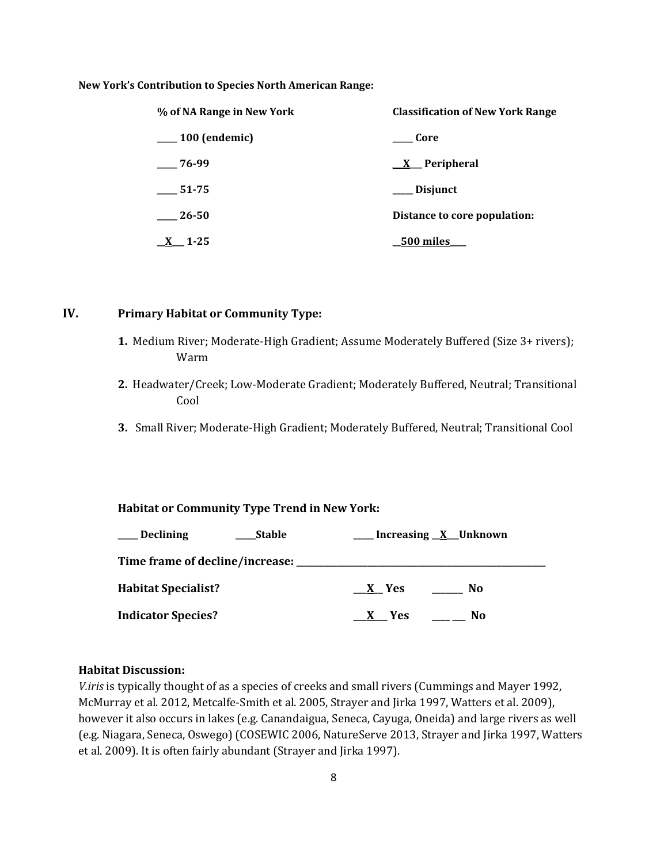**New York's Contribution to Species North American Range:**

| % of NA Range in New York    | <b>Classification of New York Range</b> |
|------------------------------|-----------------------------------------|
| <sub>___</sub> 100 (endemic) | Core                                    |
| 76-99                        | <u>X</u> Peripheral                     |
| 51-75                        | <b>Disjunct</b>                         |
| 26-50                        | Distance to core population:            |
| $1 - 25$                     | 500 miles                               |

### **IV. Primary Habitat or Community Type:**

- **1.** Medium River; Moderate-High Gradient; Assume Moderately Buffered (Size 3+ rivers); Warm
- **2.** Headwater/Creek; Low-Moderate Gradient; Moderately Buffered, Neutral; Transitional Cool
- **3.** Small River; Moderate-High Gradient; Moderately Buffered, Neutral; Transitional Cool

#### **Habitat or Community Type Trend in New York:**

| <b>Declining</b>                        | <b>Stable</b> |         | __ Increasing <u>X</u> _Unknown |
|-----------------------------------------|---------------|---------|---------------------------------|
| Time frame of decline/increase: _______ |               |         |                                 |
| <b>Habitat Specialist?</b>              |               | $X$ Yes | No.                             |
| <b>Indicator Species?</b>               |               | $X$ Yes | No                              |

#### **Habitat Discussion:**

*V.iris* is typically thought of as a species of creeks and small rivers (Cummings and Mayer 1992, McMurray et al. 2012, Metcalfe-Smith et al. 2005, Strayer and Jirka 1997, Watters et al. 2009), however it also occurs in lakes (e.g. Canandaigua, Seneca, Cayuga, Oneida) and large rivers as well (e.g. Niagara, Seneca, Oswego) (COSEWIC 2006, NatureServe 2013, Strayer and Jirka 1997, Watters et al. 2009). It is often fairly abundant (Strayer and Jirka 1997).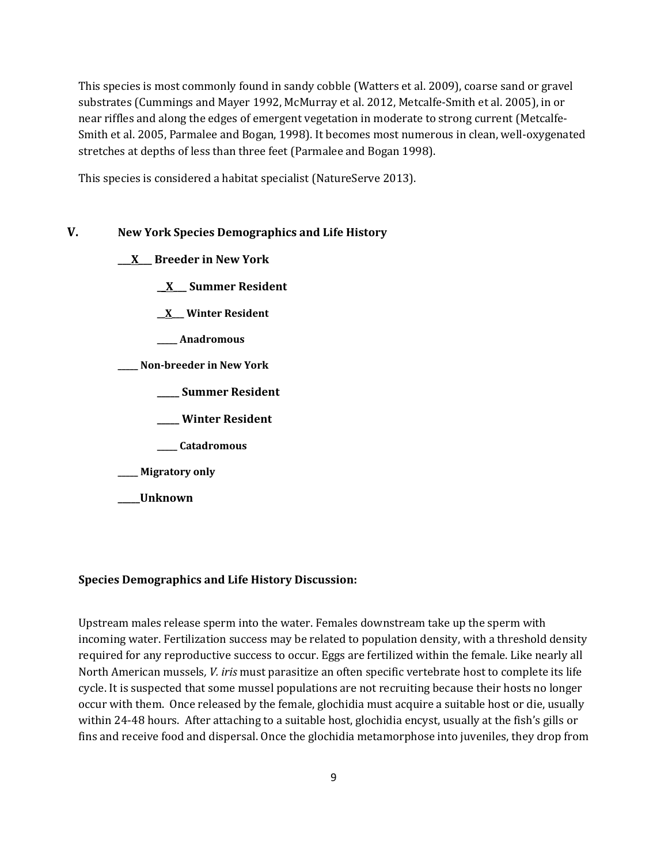This species is most commonly found in sandy cobble (Watters et al. 2009), coarse sand or gravel substrates (Cummings and Mayer 1992, McMurray et al. 2012, Metcalfe-Smith et al. 2005), in or near riffles and along the edges of emergent vegetation in moderate to strong current (Metcalfe-Smith et al. 2005, Parmalee and Bogan, 1998). It becomes most numerous in clean, well-oxygenated stretches at depths of less than three feet (Parmalee and Bogan 1998).

This species is considered a habitat specialist (NatureServe 2013).

### **V. New York Species Demographics and Life History**

**\_\_\_X\_\_\_ Breeder in New York**

- **\_\_X\_\_\_ Summer Resident**
- **\_\_X\_\_\_ Winter Resident**
- **\_\_\_\_\_ Anadromous**
- **\_\_\_\_\_ Non-breeder in New York**
	- **\_\_\_\_\_ Summer Resident**
	- **\_\_\_\_\_ Winter Resident**
	- **\_\_\_\_\_ Catadromous**
- **\_\_\_\_\_ Migratory only**
- **\_\_\_\_\_Unknown**

### **Species Demographics and Life History Discussion:**

Upstream males release sperm into the water. Females downstream take up the sperm with incoming water. Fertilization success may be related to population density, with a threshold density required for any reproductive success to occur. Eggs are fertilized within the female. Like nearly all North American mussels*, V. iris* must parasitize an often specific vertebrate host to complete its life cycle. It is suspected that some mussel populations are not recruiting because their hosts no longer occur with them. Once released by the female, glochidia must acquire a suitable host or die, usually within 24-48 hours. After attaching to a suitable host, glochidia encyst, usually at the fish's gills or fins and receive food and dispersal. Once the glochidia metamorphose into juveniles, they drop from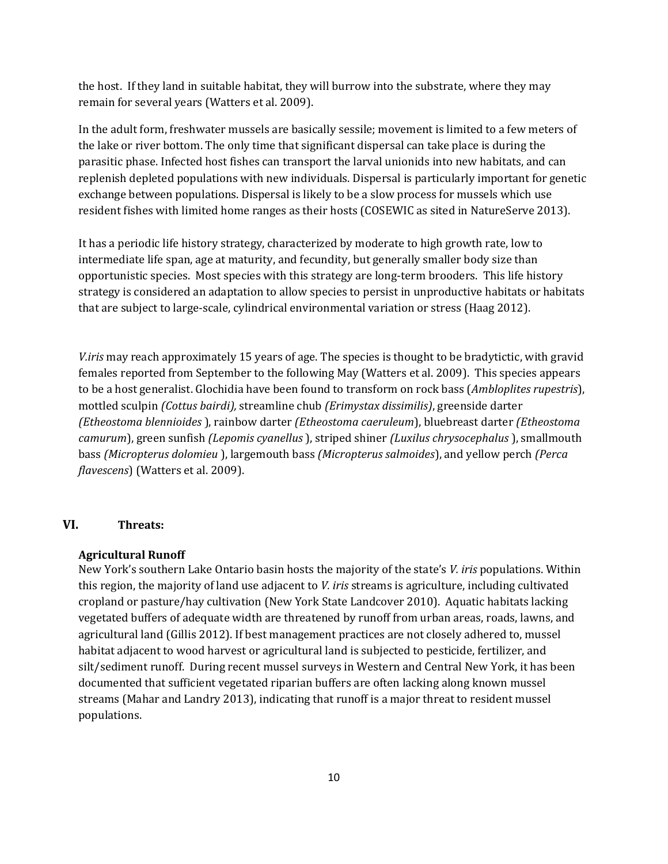the host. If they land in suitable habitat, they will burrow into the substrate, where they may remain for several years (Watters et al. 2009).

In the adult form, freshwater mussels are basically sessile; movement is limited to a few meters of the lake or river bottom. The only time that significant dispersal can take place is during the parasitic phase. Infected host fishes can transport the larval unionids into new habitats, and can replenish depleted populations with new individuals. Dispersal is particularly important for genetic exchange between populations. Dispersal is likely to be a slow process for mussels which use resident fishes with limited home ranges as their hosts (COSEWIC as sited in NatureServe 2013).

It has a periodic life history strategy, characterized by moderate to high growth rate, low to intermediate life span, age at maturity, and fecundity, but generally smaller body size than opportunistic species. Most species with this strategy are long-term brooders. This life history strategy is considered an adaptation to allow species to persist in unproductive habitats or habitats that are subject to large-scale, cylindrical environmental variation or stress (Haag 2012).

*V.iris* may reach approximately 15 years of age. The species is thought to be bradytictic, with gravid females reported from September to the following May (Watters et al. 2009). This species appears to be a host generalist. Glochidia have been found to transform on rock bass (*Ambloplites rupestris*), mottled sculpin *(Cottus bairdi),* streamline chub *(Erimystax dissimilis)*, greenside darter *(Etheostoma blennioides* ), rainbow darter *(Etheostoma caeruleum*), bluebreast darter *(Etheostoma camurum*), green sunfish *(Lepomis cyanellus* ), striped shiner *(Luxilus chrysocephalus* ), smallmouth bass *(Micropterus dolomieu* ), largemouth bass *(Micropterus salmoides*), and yellow perch *(Perca flavescens*) (Watters et al. 2009).

#### **VI. Threats:**

#### **Agricultural Runoff**

New York's southern Lake Ontario basin hosts the majority of the state's *V. iris* populations. Within this region, the majority of land use adjacent to *V. iris* streams is agriculture, including cultivated cropland or pasture/hay cultivation (New York State Landcover 2010). Aquatic habitats lacking vegetated buffers of adequate width are threatened by runoff from urban areas, roads, lawns, and agricultural land (Gillis 2012). If best management practices are not closely adhered to, mussel habitat adjacent to wood harvest or agricultural land is subjected to pesticide, fertilizer, and silt/sediment runoff. During recent mussel surveys in Western and Central New York, it has been documented that sufficient vegetated riparian buffers are often lacking along known mussel streams (Mahar and Landry 2013), indicating that runoff is a major threat to resident mussel populations.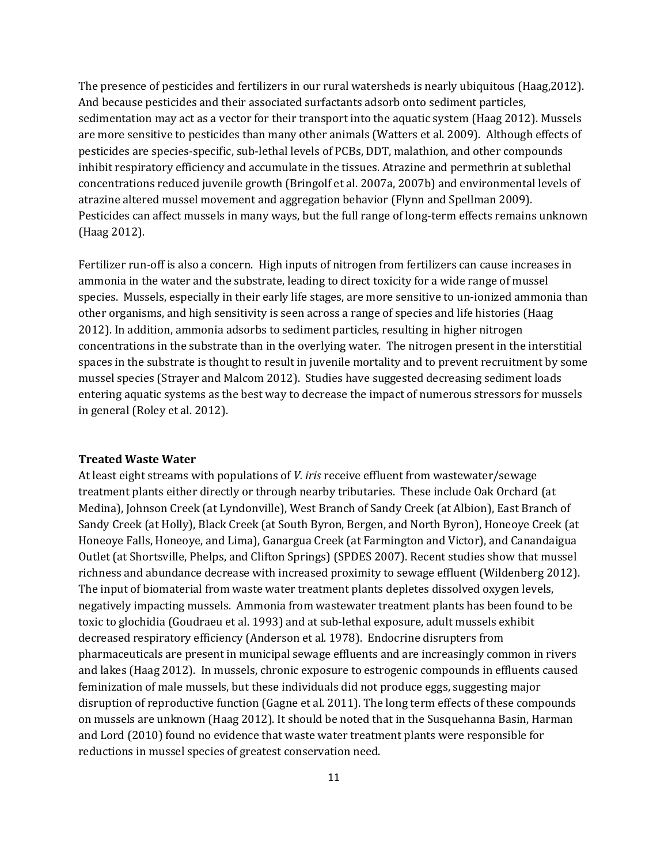The presence of pesticides and fertilizers in our rural watersheds is nearly ubiquitous (Haag,2012). And because pesticides and their associated surfactants adsorb onto sediment particles, sedimentation may act as a vector for their transport into the aquatic system (Haag 2012). Mussels are more sensitive to pesticides than many other animals (Watters et al. 2009). Although effects of pesticides are species-specific, sub-lethal levels of PCBs, DDT, malathion, and other compounds inhibit respiratory efficiency and accumulate in the tissues. Atrazine and permethrin at sublethal concentrations reduced juvenile growth (Bringolf et al. 2007a, 2007b) and environmental levels of atrazine altered mussel movement and aggregation behavior (Flynn and Spellman 2009). Pesticides can affect mussels in many ways, but the full range of long-term effects remains unknown (Haag 2012).

Fertilizer run-off is also a concern. High inputs of nitrogen from fertilizers can cause increases in ammonia in the water and the substrate, leading to direct toxicity for a wide range of mussel species. Mussels, especially in their early life stages, are more sensitive to un-ionized ammonia than other organisms, and high sensitivity is seen across a range of species and life histories (Haag 2012). In addition, ammonia adsorbs to sediment particles, resulting in higher nitrogen concentrations in the substrate than in the overlying water. The nitrogen present in the interstitial spaces in the substrate is thought to result in juvenile mortality and to prevent recruitment by some mussel species (Strayer and Malcom 2012). Studies have suggested decreasing sediment loads entering aquatic systems as the best way to decrease the impact of numerous stressors for mussels in general (Roley et al. 2012).

#### **Treated Waste Water**

At least eight streams with populations of *V. iris* receive effluent from wastewater/sewage treatment plants either directly or through nearby tributaries. These include Oak Orchard (at Medina), Johnson Creek (at Lyndonville), West Branch of Sandy Creek (at Albion), East Branch of Sandy Creek (at Holly), Black Creek (at South Byron, Bergen, and North Byron), Honeoye Creek (at Honeoye Falls, Honeoye, and Lima), Ganargua Creek (at Farmington and Victor), and Canandaigua Outlet (at Shortsville, Phelps, and Clifton Springs) (SPDES 2007). Recent studies show that mussel richness and abundance decrease with increased proximity to sewage effluent (Wildenberg 2012). The input of biomaterial from waste water treatment plants depletes dissolved oxygen levels, negatively impacting mussels. Ammonia from wastewater treatment plants has been found to be toxic to glochidia (Goudraeu et al. 1993) and at sub-lethal exposure, adult mussels exhibit decreased respiratory efficiency (Anderson et al*.* 1978). Endocrine disrupters from pharmaceuticals are present in municipal sewage effluents and are increasingly common in rivers and lakes (Haag 2012). In mussels, chronic exposure to estrogenic compounds in effluents caused feminization of male mussels, but these individuals did not produce eggs, suggesting major disruption of reproductive function (Gagne et al. 2011). The long term effects of these compounds on mussels are unknown (Haag 2012). It should be noted that in the Susquehanna Basin, Harman and Lord (2010) found no evidence that waste water treatment plants were responsible for reductions in mussel species of greatest conservation need.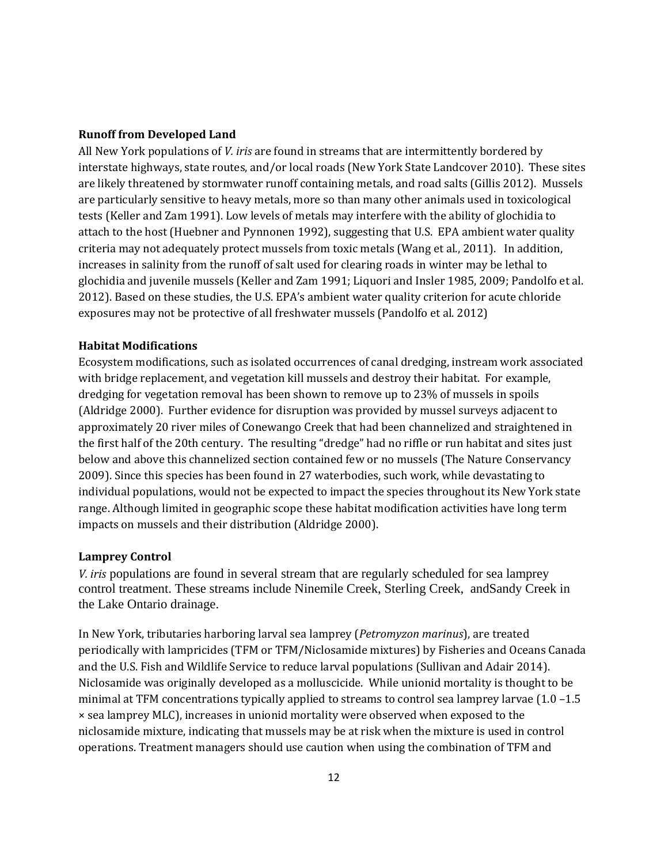#### **Runoff from Developed Land**

All New York populations of *V. iris* are found in streams that are intermittently bordered by interstate highways, state routes, and/or local roads (New York State Landcover 2010). These sites are likely threatened by stormwater runoff containing metals, and road salts (Gillis 2012). Mussels are particularly sensitive to heavy metals, more so than many other animals used in toxicological tests (Keller and Zam 1991). Low levels of metals may interfere with the ability of glochidia to attach to the host (Huebner and Pynnonen 1992), suggesting that U.S. EPA ambient water quality criteria may not adequately protect mussels from toxic metals (Wang et al., 2011). In addition, increases in salinity from the runoff of salt used for clearing roads in winter may be lethal to glochidia and juvenile mussels (Keller and Zam 1991; Liquori and Insler 1985, 2009; Pandolfo et al. 2012). Based on these studies, the U.S. EPA's ambient water quality criterion for acute chloride exposures may not be protective of all freshwater mussels (Pandolfo et al. 2012)

#### **Habitat Modifications**

Ecosystem modifications, such as isolated occurrences of canal dredging, instream work associated with bridge replacement, and vegetation kill mussels and destroy their habitat. For example, dredging for vegetation removal has been shown to remove up to 23% of mussels in spoils (Aldridge 2000). Further evidence for disruption was provided by mussel surveys adjacent to approximately 20 river miles of Conewango Creek that had been channelized and straightened in the first half of the 20th century. The resulting "dredge" had no riffle or run habitat and sites just below and above this channelized section contained few or no mussels (The Nature Conservancy 2009). Since this species has been found in 27 waterbodies, such work, while devastating to individual populations, would not be expected to impact the species throughout its New York state range. Although limited in geographic scope these habitat modification activities have long term impacts on mussels and their distribution (Aldridge 2000).

#### **Lamprey Control**

*V. iris* populations are found in several stream that are regularly scheduled for sea lamprey control treatment. These streams include Ninemile Creek, Sterling Creek, andSandy Creek in the Lake Ontario drainage.

In New York, tributaries harboring larval sea lamprey (*Petromyzon marinus*), are treated periodically with lampricides (TFM or TFM/Niclosamide mixtures) by Fisheries and Oceans Canada and the U.S. Fish and Wildlife Service to reduce larval populations (Sullivan and Adair 2014). Niclosamide was originally developed as a molluscicide. While unionid mortality is thought to be minimal at TFM concentrations typically applied to streams to control sea lamprey larvae (1.0 –1.5 × sea lamprey MLC), increases in unionid mortality were observed when exposed to the niclosamide mixture, indicating that mussels may be at risk when the mixture is used in control operations. Treatment managers should use caution when using the combination of TFM and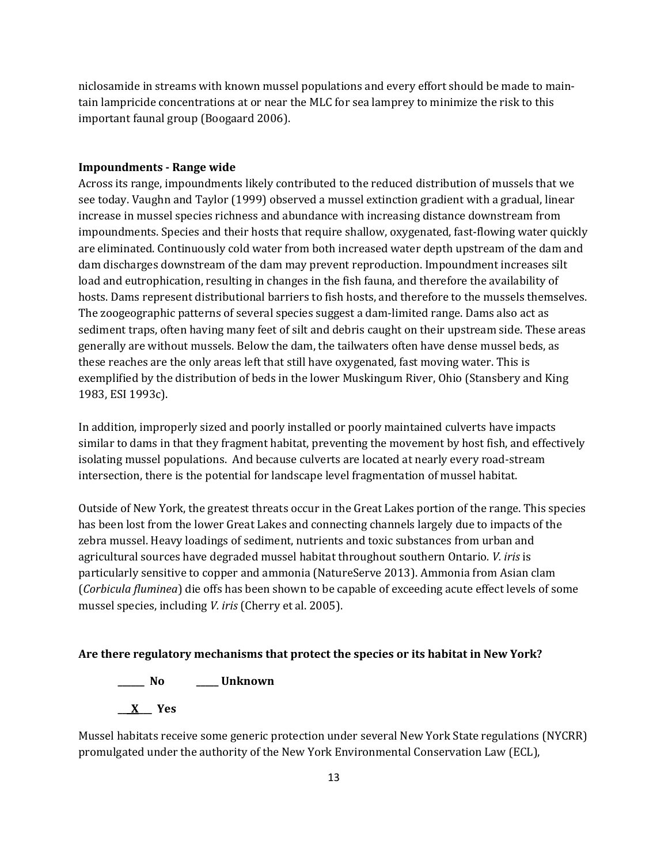niclosamide in streams with known mussel populations and every effort should be made to maintain lampricide concentrations at or near the MLC for sea lamprey to minimize the risk to this important faunal group (Boogaard 2006).

#### **Impoundments - Range wide**

Across its range, impoundments likely contributed to the reduced distribution of mussels that we see today. Vaughn and Taylor (1999) observed a mussel extinction gradient with a gradual, linear increase in mussel species richness and abundance with increasing distance downstream from impoundments. Species and their hosts that require shallow, oxygenated, fast-flowing water quickly are eliminated. Continuously cold water from both increased water depth upstream of the dam and dam discharges downstream of the dam may prevent reproduction. Impoundment increases silt load and eutrophication, resulting in changes in the fish fauna, and therefore the availability of hosts. Dams represent distributional barriers to fish hosts, and therefore to the mussels themselves. The zoogeographic patterns of several species suggest a dam-limited range. Dams also act as sediment traps, often having many feet of silt and debris caught on their upstream side. These areas generally are without mussels. Below the dam, the tailwaters often have dense mussel beds, as these reaches are the only areas left that still have oxygenated, fast moving water. This is exemplified by the distribution of beds in the lower Muskingum River, Ohio (Stansbery and King 1983, ESI 1993c).

In addition, improperly sized and poorly installed or poorly maintained culverts have impacts similar to dams in that they fragment habitat, preventing the movement by host fish, and effectively isolating mussel populations. And because culverts are located at nearly every road-stream intersection, there is the potential for landscape level fragmentation of mussel habitat.

Outside of New York, the greatest threats occur in the Great Lakes portion of the range. This species has been lost from the lower Great Lakes and connecting channels largely due to impacts of the zebra mussel. Heavy loadings of sediment, nutrients and toxic substances from urban and agricultural sources have degraded mussel habitat throughout southern Ontario*. V. iris* is particularly sensitive to copper and ammonia (NatureServe 2013). Ammonia from Asian clam (*Corbicula fluminea*) die offs has been shown to be capable of exceeding acute effect levels of some mussel species, including *V. iris* (Cherry et al. 2005).

#### **Are there regulatory mechanisms that protect the species or its habitat in New York?**

**\_\_\_\_\_\_ No \_\_\_\_\_ Unknown**

**\_\_\_X\_\_\_ Yes** 

Mussel habitats receive some generic protection under several New York State regulations (NYCRR) promulgated under the authority of the New York Environmental Conservation Law (ECL),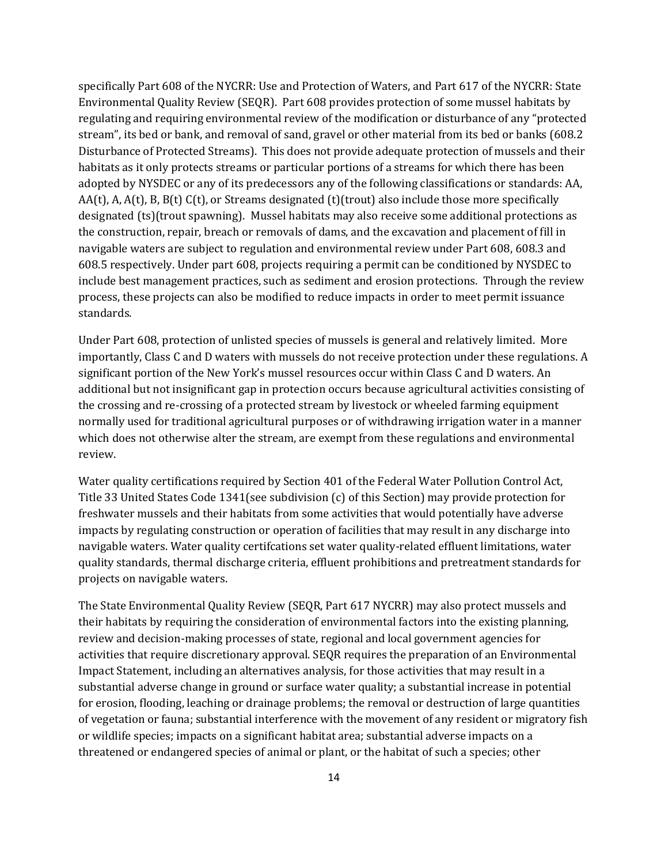specifically Part 608 of the NYCRR: Use and Protection of Waters, and Part 617 of the NYCRR: State Environmental Quality Review (SEQR). Part 608 provides protection of some mussel habitats by regulating and requiring environmental review of the modification or disturbance of any "protected stream", its bed or bank, and removal of sand, gravel or other material from its bed or banks (608.2 Disturbance of Protected Streams). This does not provide adequate protection of mussels and their habitats as it only protects streams or particular portions of a streams for which there has been adopted by NYSDEC or any of its predecessors any of the following classifications or standards: AA, AA(t), A, A(t), B, B(t) C(t), or Streams designated (t)(trout) also include those more specifically designated (ts)(trout spawning). Mussel habitats may also receive some additional protections as the construction, repair, breach or removals of dams, and the excavation and placement of fill in navigable waters are subject to regulation and environmental review under Part 608, 608.3 and 608.5 respectively. Under part 608, projects requiring a permit can be conditioned by NYSDEC to include best management practices, such as sediment and erosion protections. Through the review process, these projects can also be modified to reduce impacts in order to meet permit issuance standards.

Under Part 608, protection of unlisted species of mussels is general and relatively limited. More importantly, Class C and D waters with mussels do not receive protection under these regulations. A significant portion of the New York's mussel resources occur within Class C and D waters. An additional but not insignificant gap in protection occurs because agricultural activities consisting of the crossing and re-crossing of a protected stream by livestock or wheeled farming equipment normally used for traditional agricultural purposes or of withdrawing irrigation water in a manner which does not otherwise alter the stream, are exempt from these regulations and environmental review.

Water quality certifications required by Section 401 of the Federal Water Pollution Control Act, Title 33 United States Code 1341(see subdivision (c) of this Section) may provide protection for freshwater mussels and their habitats from some activities that would potentially have adverse impacts by regulating construction or operation of facilities that may result in any discharge into navigable waters. Water quality certifcations set water quality-related effluent limitations, water quality standards, thermal discharge criteria, effluent prohibitions and pretreatment standards for projects on navigable waters.

The State Environmental Quality Review (SEQR, Part 617 NYCRR) may also protect mussels and their habitats by requiring the consideration of environmental factors into the existing planning, review and decision-making processes of state, regional and local government agencies for activities that require discretionary approval. SEQR requires the preparation of an Environmental Impact Statement, including an alternatives analysis, for those activities that may result in a substantial adverse change in ground or surface water quality; a substantial increase in potential for erosion, flooding, leaching or drainage problems; the removal or destruction of large quantities of vegetation or fauna; substantial interference with the movement of any resident or migratory fish or wildlife species; impacts on a significant habitat area; substantial adverse impacts on a threatened or endangered species of animal or plant, or the habitat of such a species; other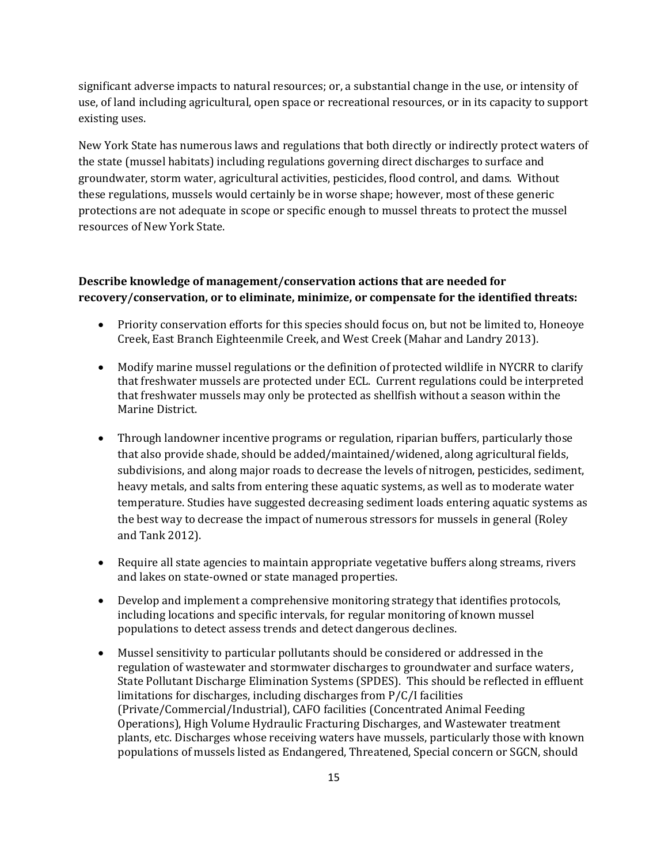significant adverse impacts to natural resources; or, a substantial change in the use, or intensity of use, of land including agricultural, open space or recreational resources, or in its capacity to support existing uses.

New York State has numerous laws and regulations that both directly or indirectly protect waters of the state (mussel habitats) including regulations governing direct discharges to surface and groundwater, storm water, agricultural activities, pesticides, flood control, and dams. Without these regulations, mussels would certainly be in worse shape; however, most of these generic protections are not adequate in scope or specific enough to mussel threats to protect the mussel resources of New York State.

### **Describe knowledge of management/conservation actions that are needed for recovery/conservation, or to eliminate, minimize, or compensate for the identified threats:**

- Priority conservation efforts for this species should focus on, but not be limited to, Honeoye Creek, East Branch Eighteenmile Creek, and West Creek (Mahar and Landry 2013).
- Modify marine mussel regulations or the definition of protected wildlife in NYCRR to clarify that freshwater mussels are protected under ECL. Current regulations could be interpreted that freshwater mussels may only be protected as shellfish without a season within the Marine District.
- Through landowner incentive programs or regulation, riparian buffers, particularly those that also provide shade, should be added/maintained/widened, along agricultural fields, subdivisions, and along major roads to decrease the levels of nitrogen, pesticides, sediment, heavy metals, and salts from entering these aquatic systems, as well as to moderate water temperature. Studies have suggested decreasing sediment loads entering aquatic systems as the best way to decrease the impact of numerous stressors for mussels in general (Roley and Tank 2012).
- Require all state agencies to maintain appropriate vegetative buffers along streams, rivers and lakes on state-owned or state managed properties.
- Develop and implement a comprehensive monitoring strategy that identifies protocols, including locations and specific intervals, for regular monitoring of known mussel populations to detect assess trends and detect dangerous declines.
- Mussel sensitivity to particular pollutants should be considered or addressed in the regulation of wastewater and stormwater discharges to groundwater and surface waters, State Pollutant Discharge Elimination Systems (SPDES). This should be reflected in effluent limitations for discharges, including discharges from P/C/I facilities (Private/Commercial/Industrial), CAFO facilities (Concentrated Animal Feeding Operations), High Volume Hydraulic Fracturing Discharges, and Wastewater treatment plants, etc. Discharges whose receiving waters have mussels, particularly those with known populations of mussels listed as Endangered, Threatened, Special concern or SGCN, should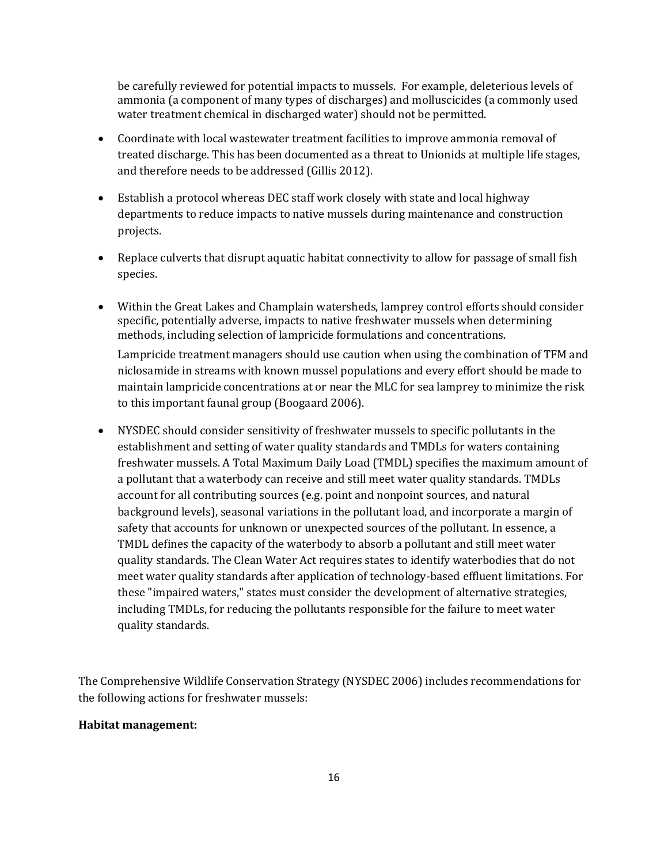be carefully reviewed for potential impacts to mussels. For example, deleterious levels of ammonia (a component of many types of discharges) and molluscicides (a commonly used water treatment chemical in discharged water) should not be permitted.

- Coordinate with local wastewater treatment facilities to improve ammonia removal of treated discharge. This has been documented as a threat to Unionids at multiple life stages, and therefore needs to be addressed (Gillis 2012).
- Establish a protocol whereas DEC staff work closely with state and local highway departments to reduce impacts to native mussels during maintenance and construction projects.
- Replace culverts that disrupt aquatic habitat connectivity to allow for passage of small fish species.
- Within the Great Lakes and Champlain watersheds, lamprey control efforts should consider specific, potentially adverse, impacts to native freshwater mussels when determining methods, including selection of lampricide formulations and concentrations.

Lampricide treatment managers should use caution when using the combination of TFM and niclosamide in streams with known mussel populations and every effort should be made to maintain lampricide concentrations at or near the MLC for sea lamprey to minimize the risk to this important faunal group (Boogaard 2006).

• NYSDEC should consider sensitivity of freshwater mussels to specific pollutants in the establishment and setting of water quality standards and TMDLs for waters containing freshwater mussels. A Total Maximum Daily Load (TMDL) specifies the maximum amount of a pollutant that a waterbody can receive and still meet water quality standards. TMDLs account for all contributing sources (e.g. point and nonpoint sources, and natural background levels), seasonal variations in the pollutant load, and incorporate a margin of safety that accounts for unknown or unexpected sources of the pollutant. In essence, a TMDL defines the capacity of the waterbody to absorb a pollutant and still meet water quality standards. The Clean Water Act requires states to identify waterbodies that do not meet water quality standards after application of technology-based effluent limitations. For these "impaired waters," states must consider the development of alternative strategies, including TMDLs, for reducing the pollutants responsible for the failure to meet water quality standards.

The Comprehensive Wildlife Conservation Strategy (NYSDEC 2006) includes recommendations for the following actions for freshwater mussels:

### **Habitat management:**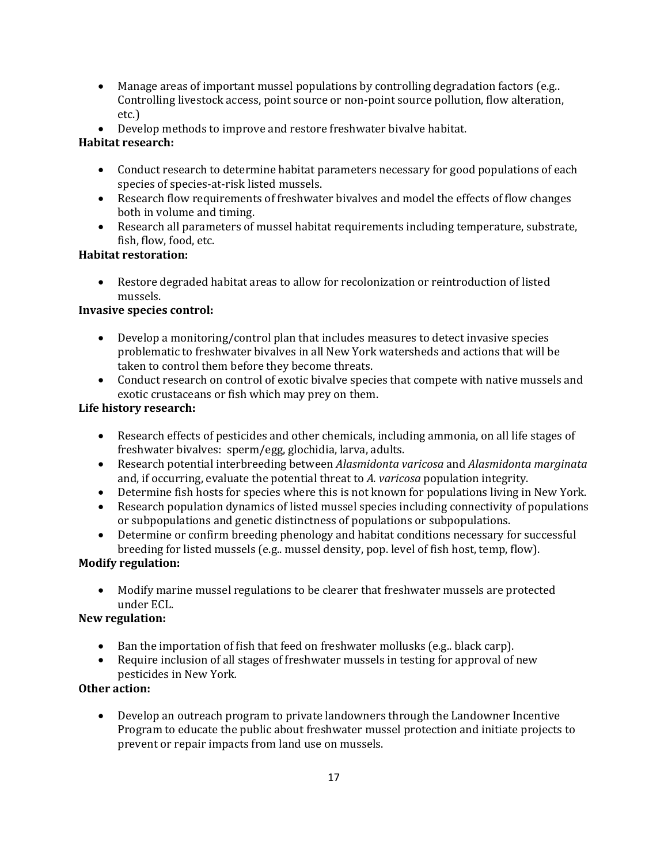- Manage areas of important mussel populations by controlling degradation factors (e.g..) Controlling livestock access, point source or non-point source pollution, flow alteration, etc.)
- Develop methods to improve and restore freshwater bivalve habitat.

# **Habitat research:**

- Conduct research to determine habitat parameters necessary for good populations of each species of species-at-risk listed mussels.
- Research flow requirements of freshwater bivalves and model the effects of flow changes both in volume and timing.
- Research all parameters of mussel habitat requirements including temperature, substrate, fish, flow, food, etc.

# **Habitat restoration:**

• Restore degraded habitat areas to allow for recolonization or reintroduction of listed mussels.

# **Invasive species control:**

- Develop a monitoring/control plan that includes measures to detect invasive species problematic to freshwater bivalves in all New York watersheds and actions that will be taken to control them before they become threats.
- Conduct research on control of exotic bivalve species that compete with native mussels and exotic crustaceans or fish which may prey on them.

# **Life history research:**

- Research effects of pesticides and other chemicals, including ammonia, on all life stages of freshwater bivalves: sperm/egg, glochidia, larva, adults.
- Research potential interbreeding between *Alasmidonta varicosa* and *Alasmidonta marginata*  and, if occurring, evaluate the potential threat to *A. varicosa* population integrity.
- Determine fish hosts for species where this is not known for populations living in New York.
- Research population dynamics of listed mussel species including connectivity of populations or subpopulations and genetic distinctness of populations or subpopulations.
- Determine or confirm breeding phenology and habitat conditions necessary for successful breeding for listed mussels (e.g.. mussel density, pop. level of fish host, temp, flow).

# **Modify regulation:**

• Modify marine mussel regulations to be clearer that freshwater mussels are protected under ECL.

# **New regulation:**

- Ban the importation of fish that feed on freshwater mollusks (e.g.. black carp).
- Require inclusion of all stages of freshwater mussels in testing for approval of new pesticides in New York*.*

# **Other action:**

• Develop an outreach program to private landowners through the Landowner Incentive Program to educate the public about freshwater mussel protection and initiate projects to prevent or repair impacts from land use on mussels.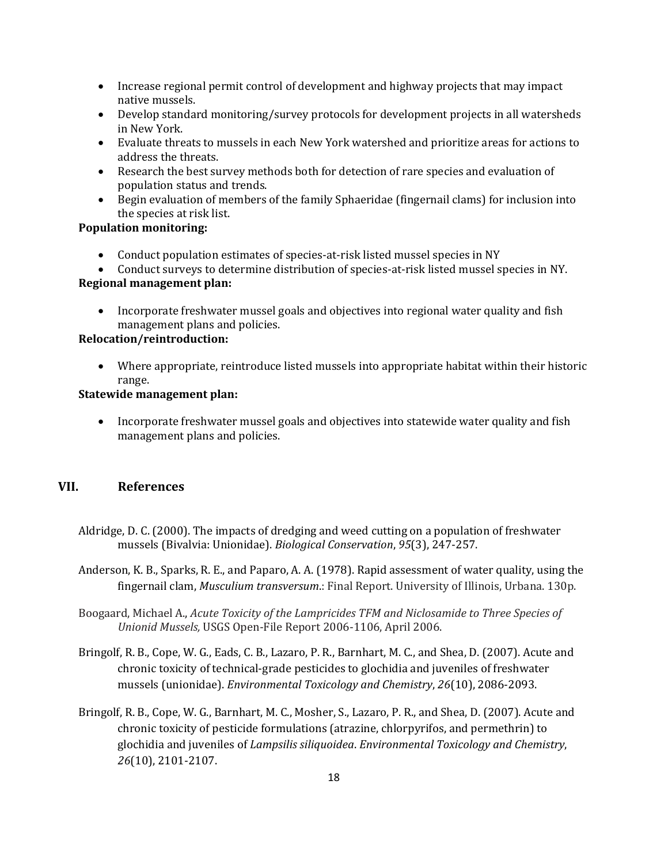- Increase regional permit control of development and highway projects that may impact native mussels.
- Develop standard monitoring/survey protocols for development projects in all watersheds in New York.
- Evaluate threats to mussels in each New York watershed and prioritize areas for actions to address the threats.
- Research the best survey methods both for detection of rare species and evaluation of population status and trends.
- Begin evaluation of members of the family Sphaeridae (fingernail clams) for inclusion into the species at risk list.

### **Population monitoring:**

- Conduct population estimates of species-at-risk listed mussel species in NY
- Conduct surveys to determine distribution of species-at-risk listed mussel species in NY.

#### **Regional management plan:**

• Incorporate freshwater mussel goals and objectives into regional water quality and fish management plans and policies.

### **Relocation/reintroduction:**

• Where appropriate, reintroduce listed mussels into appropriate habitat within their historic range.

#### **Statewide management plan:**

• Incorporate freshwater mussel goals and objectives into statewide water quality and fish management plans and policies.

### **VII. References**

- Aldridge, D. C. (2000). The impacts of dredging and weed cutting on a population of freshwater mussels (Bivalvia: Unionidae). *Biological Conservation*, *95*(3), 247-257.
- Anderson, K. B., Sparks, R. E., and Paparo, A. A. (1978). Rapid assessment of water quality, using the fingernail clam, *Musculium transversum*.: Final Report. University of Illinois, Urbana. 130p.
- Boogaard, Michael A., *Acute Toxicity of the Lampricides TFM and Niclosamide to Three Species of Unionid Mussels,* USGS Open-File Report 2006-1106, April 2006.
- Bringolf, R. B., Cope, W. G., Eads, C. B., Lazaro, P. R., Barnhart, M. C., and Shea, D. (2007). Acute and chronic toxicity of technical‐grade pesticides to glochidia and juveniles of freshwater mussels (unionidae). *Environmental Toxicology and Chemistry*, *26*(10), 2086-2093.
- Bringolf, R. B., Cope, W. G., Barnhart, M. C., Mosher, S., Lazaro, P. R., and Shea, D. (2007). Acute and chronic toxicity of pesticide formulations (atrazine, chlorpyrifos, and permethrin) to glochidia and juveniles of *Lampsilis siliquoidea*. *Environmental Toxicology and Chemistry*, *26*(10), 2101-2107.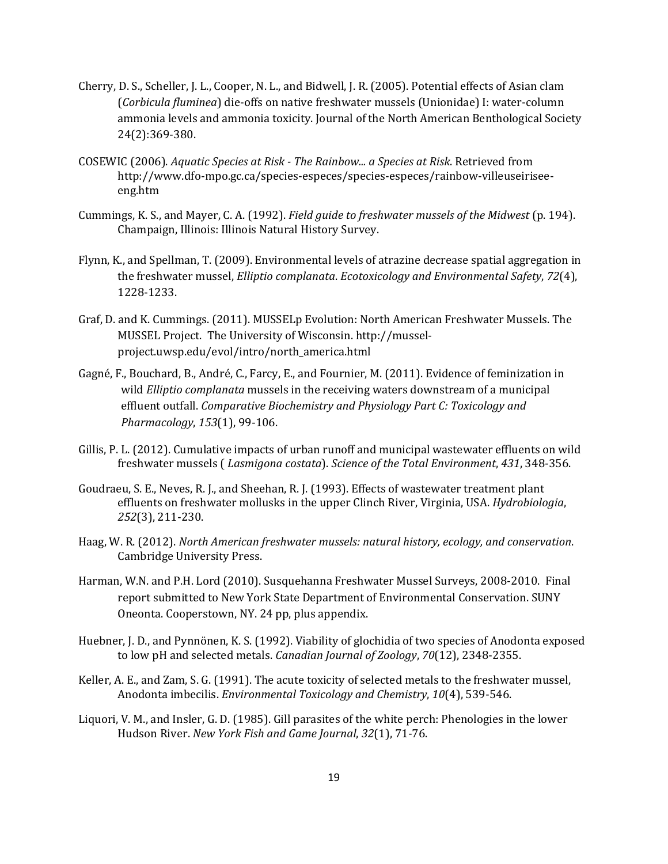- Cherry, D. S., Scheller, J. L., Cooper, N. L., and Bidwell, J. R. (2005). Potential effects of Asian clam (*Corbicula fluminea*) die-offs on native freshwater mussels (Unionidae) I: water-column ammonia levels and ammonia toxicity. Journal of the North American Benthological Society 24(2):369-380.
- COSEWIC (2006). *Aquatic Species at Risk - The Rainbow... a Species at Risk*. Retrieved from http://www.dfo-mpo.gc.ca/species-especes/species-especes/rainbow-villeuseiriseeeng.htm
- Cummings, K. S., and Mayer, C. A. (1992). *Field guide to freshwater mussels of the Midwest* (p. 194). Champaign, Illinois: Illinois Natural History Survey.
- Flynn, K., and Spellman, T. (2009). Environmental levels of atrazine decrease spatial aggregation in the freshwater mussel, *Elliptio complanata*. *Ecotoxicology and Environmental Safety*, *72*(4), 1228-1233.
- Graf, D. and K. Cummings. (2011). MUSSELp Evolution: North American Freshwater Mussels. The MUSSEL Project. The University of Wisconsin. [http://mussel](http://mussel-project.uwsp.edu/evol/intro/north_america.html)[project.uwsp.edu/evol/intro/north\\_america.html](http://mussel-project.uwsp.edu/evol/intro/north_america.html)
- Gagné, F., Bouchard, B., André, C., Farcy, E., and Fournier, M. (2011). Evidence of feminization in wild *Elliptio complanata* mussels in the receiving waters downstream of a municipal effluent outfall. *Comparative Biochemistry and Physiology Part C: Toxicology and Pharmacology*, *153*(1), 99-106.
- Gillis, P. L. (2012). Cumulative impacts of urban runoff and municipal wastewater effluents on wild freshwater mussels ( *Lasmigona costata*). *Science of the Total Environment*, *431*, 348-356.
- Goudraeu, S. E., Neves, R. J., and Sheehan, R. J. (1993). Effects of wastewater treatment plant effluents on freshwater mollusks in the upper Clinch River, Virginia, USA. *Hydrobiologia*, *252*(3), 211-230.
- Haag, W. R. (2012). *North American freshwater mussels: natural history, ecology, and conservation*. Cambridge University Press.
- Harman, W.N. and P.H. Lord (2010). Susquehanna Freshwater Mussel Surveys, 2008-2010. Final report submitted to New York State Department of Environmental Conservation. SUNY Oneonta. Cooperstown, NY. 24 pp, plus appendix.
- Huebner, J. D., and Pynnönen, K. S. (1992). Viability of glochidia of two species of Anodonta exposed to low pH and selected metals. *Canadian Journal of Zoology*, *70*(12), 2348-2355.
- Keller, A. E., and Zam, S. G. (1991). The acute toxicity of selected metals to the freshwater mussel, Anodonta imbecilis. *Environmental Toxicology and Chemistry*, *10*(4), 539-546.
- Liquori, V. M., and Insler, G. D. (1985). Gill parasites of the white perch: Phenologies in the lower Hudson River. *New York Fish and Game Journal*, *32*(1), 71-76.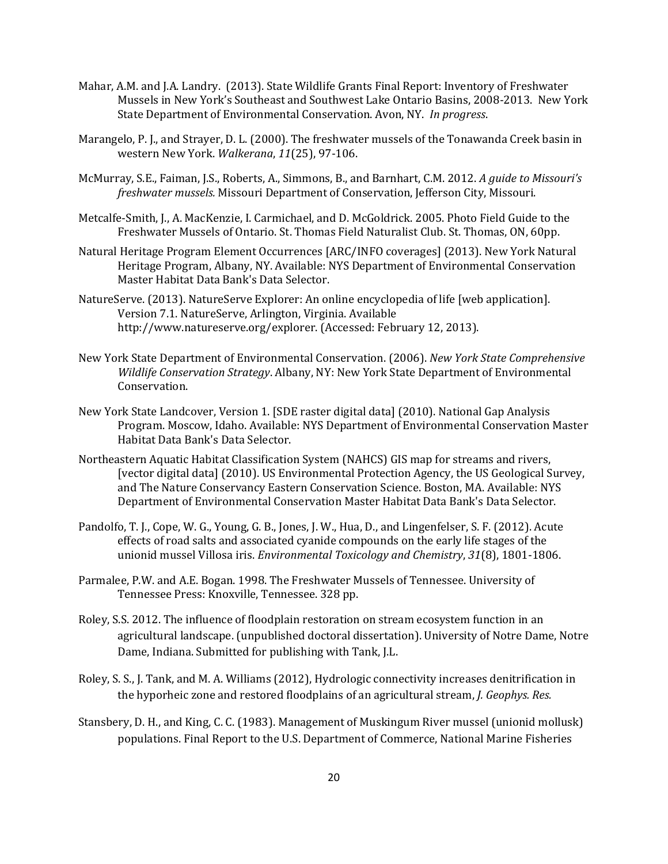- Mahar, A.M. and J.A. Landry. (2013). State Wildlife Grants Final Report: Inventory of Freshwater Mussels in New York's Southeast and Southwest Lake Ontario Basins, 2008-2013. New York State Department of Environmental Conservation. Avon, NY. *In progress*.
- Marangelo, P. J., and Strayer, D. L. (2000). The freshwater mussels of the Tonawanda Creek basin in western New York. *Walkerana*, *11*(25), 97-106.
- McMurray, S.E., Faiman, J.S., Roberts, A., Simmons, B., and Barnhart, C.M. 2012. *A guide to Missouri's freshwater mussels.* Missouri Department of Conservation, Jefferson City, Missouri.
- Metcalfe-Smith, J., A. MacKenzie, I. Carmichael, and D. McGoldrick. 2005. Photo Field Guide to the Freshwater Mussels of Ontario. St. Thomas Field Naturalist Club. St. Thomas, ON, 60pp.
- Natural Heritage Program Element Occurrences [ARC/INFO coverages] (2013). New York Natural Heritage Program, Albany, NY. Available: NYS Department of Environmental Conservation Master Habitat Data Bank's Data Selector.
- NatureServe. (2013). NatureServe Explorer: An online encyclopedia of life [web application]. Version 7.1. NatureServe, Arlington, Virginia. Available http://www.natureserve.org/explorer. (Accessed: February 12, 2013).
- New York State Department of Environmental Conservation. (2006). *New York State Comprehensive Wildlife Conservation Strategy*. Albany, NY: New York State Department of Environmental Conservation.
- New York State Landcover, Version 1. [SDE raster digital data] (2010). National Gap Analysis Program. Moscow, Idaho. Available: NYS Department of Environmental Conservation Master Habitat Data Bank's Data Selector.
- Northeastern Aquatic Habitat Classification System (NAHCS) GIS map for streams and rivers, [vector digital data] (2010). US Environmental Protection Agency, the US Geological Survey, and The Nature Conservancy Eastern Conservation Science. Boston, MA. Available: NYS Department of Environmental Conservation Master Habitat Data Bank's Data Selector.
- Pandolfo, T. J., Cope, W. G., Young, G. B., Jones, J. W., Hua, D., and Lingenfelser, S. F. (2012). Acute effects of road salts and associated cyanide compounds on the early life stages of the unionid mussel Villosa iris. *Environmental Toxicology and Chemistry*, *31*(8), 1801-1806.
- Parmalee, P.W. and A.E. Bogan. 1998. The Freshwater Mussels of Tennessee. University of Tennessee Press: Knoxville, Tennessee. 328 pp.
- Roley, S.S. 2012. The influence of floodplain restoration on stream ecosystem function in an agricultural landscape. (unpublished doctoral dissertation). University of Notre Dame, Notre Dame, Indiana. Submitted for publishing with Tank, J.L.
- Roley, S. S., J. Tank, and M. A. Williams (2012), Hydrologic connectivity increases denitrification in the hyporheic zone and restored floodplains of an agricultural stream, *J. Geophys. Res.*
- Stansbery, D. H., and King, C. C. (1983). Management of Muskingum River mussel (unionid mollusk) populations. Final Report to the U.S. Department of Commerce, National Marine Fisheries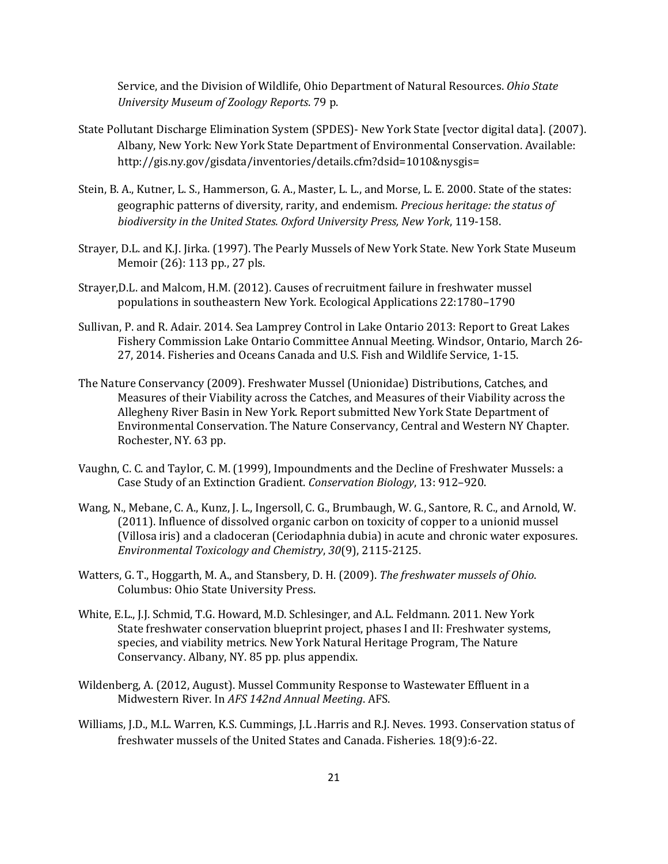Service, and the Division of Wildlife, Ohio Department of Natural Resources. *Ohio State University Museum of Zoology Reports*. 79 p.

- State Pollutant Discharge Elimination System (SPDES)- New York State [vector digital data]. (2007). Albany, New York: New York State Department of Environmental Conservation. Available: [http://gis.ny.gov/gisdata/inventories/details.cfm?dsid=1010&nysgis=](http://gis.ny.gov/gisdata/inventories/details.cfm?dsid=1010&nysgis)
- Stein, B. A., Kutner, L. S., Hammerson, G. A., Master, L. L., and Morse, L. E. 2000. State of the states: geographic patterns of diversity, rarity, and endemism. *Precious heritage: the status of biodiversity in the United States. Oxford University Press, New York*, 119-158.
- Strayer, D.L. and K.J. Jirka. (1997). The Pearly Mussels of New York State. New York State Museum Memoir (26): 113 pp., 27 pls.
- Strayer,D.L. and Malcom, H.M. (2012). Causes of recruitment failure in freshwater mussel populations in southeastern New York. Ecological Applications 22:1780–1790
- Sullivan, P. and R. Adair. 2014. Sea Lamprey Control in Lake Ontario 2013: Report to Great Lakes Fishery Commission Lake Ontario Committee Annual Meeting. Windsor, Ontario, March 26- 27, 2014. Fisheries and Oceans Canada and U.S. Fish and Wildlife Service, 1-15.
- The Nature Conservancy (2009). Freshwater Mussel (Unionidae) Distributions, Catches, and Measures of their Viability across the Catches, and Measures of their Viability across the Allegheny River Basin in New York. Report submitted New York State Department of Environmental Conservation. The Nature Conservancy, Central and Western NY Chapter. Rochester, NY. 63 pp.
- Vaughn, C. C. and Taylor, C. M. (1999), Impoundments and the Decline of Freshwater Mussels: a Case Study of an Extinction Gradient. *Conservation Biology*, 13: 912–920.
- Wang, N., Mebane, C. A., Kunz, J. L., Ingersoll, C. G., Brumbaugh, W. G., Santore, R. C., and Arnold, W. (2011). Influence of dissolved organic carbon on toxicity of copper to a unionid mussel (Villosa iris) and a cladoceran (Ceriodaphnia dubia) in acute and chronic water exposures. *Environmental Toxicology and Chemistry*, *30*(9), 2115-2125.
- Watters, G. T., Hoggarth, M. A., and Stansbery, D. H. (2009). *The freshwater mussels of Ohio*. Columbus: Ohio State University Press.
- White, E.L., J.J. Schmid, T.G. Howard, M.D. Schlesinger, and A.L. Feldmann. 2011. New York State freshwater conservation blueprint project, phases I and II: Freshwater systems, species, and viability metrics. New York Natural Heritage Program, The Nature Conservancy. Albany, NY. 85 pp. plus appendix.
- Wildenberg, A. (2012, August). Mussel Community Response to Wastewater Effluent in a Midwestern River. In *AFS 142nd Annual Meeting*. AFS.
- Williams, J.D., M.L. Warren, K.S. Cummings, J.L .Harris and R.J. Neves. 1993. Conservation status of freshwater mussels of the United States and Canada. Fisheries. 18(9):6-22.